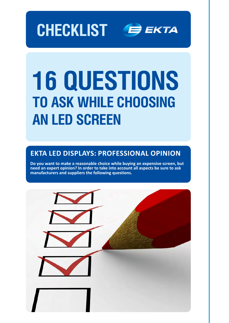



# **16 questions to ask while choosing an LED screen**

### **EKTA LED displays: professional opinion**

**Do you want to make a reasonable choice while buying an expensive screen, but need an expert opinion? In order to take into account all aspects be sure to ask manufacturers and suppliers the following questions.**

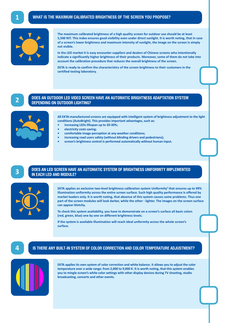

**The maximum calibrated brightness of a high quality screen for outdoor use should be at least 5,500 NIT. This index ensures good visibility even under direct sunlight. It is worth noting, that in case of a screen's lower brightness and maximum intensity of sunlight, the image on the screen is simply not visible.** 

**In the LED market it is easy encounter suppliers and dealers of Chinese screens who intentionally indicate a significantly higher brightness of their products. Moreover, some of them do not take into account the calibration procedure that reduces the overall brightness of the screen.**

**EKTA is ready to confirm the characteristics of the screen brightness to their customers in the certified testing laboratory.**

**2**

### **Does an outdoor LED video screen have an automatic brightness adaptation system depending on outdoor lighting?**



**All EKTA-manufactured screens are equipped with intelligent system of brightness adjustment to the light conditions (AutoBright). This provides important advantages, such as:**

- **• increasing LEDs lifespan up to 20-30%;**
- *<u>electricity</u>* costs saving;
- **• comfortable image perception at any weather conditions;**
- **increasing road users safety (without blinding drivers and pedestrians);**
- screen's brightness control is performed automatically without human input.



#### **Does an LED screen have an automatic system of brightness uniformity implemented in each LED and module?**



**EKTA applies an exclusive two-level brightness calibration system Uniformity<sup>2</sup> that ensures up to 99% illumination uniformity across the entire screen surface. Such high quality performance is offered by market leaders only. It is worth noting, that absence of this system causes some problems. Thus one part of the screen modules will look darker, while the other - lighter. The images on the screen surface can appear blotchy.** 

**To check this system availability, you have to demonstrate on a screen's surface all basic colors (red, green, blue) one by one on different brightness levels.**

**If the system is available illumination will reach ideal uniformity across the whole screen's surface.** 

### **4 Is there any built-in system of color correction and color temperature adjustment?**



**EKTA applies its own system of color correction and white balance. It allows you to adjust the color temperature over a wide range: from 2,000 to 9,000 K. It is worth noting, that this system enables you to mingle screen's white color settings with other display devices during TV shooting, studio broadcasting, concerts and other events.**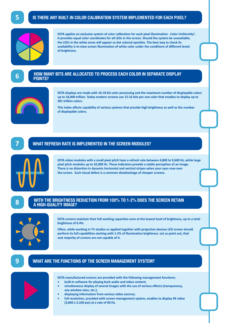### **Is there any built-in color calibration system implemented for each pixel?**



EKTA applies an exclusive system of color calibration for each pixel illumination - Color Uniformity<sup>2</sup>. **It provides equal color coordinates for all LEDs in the screen. Should the system be unavailable, the LEDs in the white areas will appear as dot colored speckles. The best way to check its availability is to view screen illumination of white color under the conditions of different levels of brightness.**

### **6**

### **How many bits are allocated to process each color in separate display points?**



**EKTA displays are made with 16-18 bit color processing and the maximum number of displayable colors up to 18,000 trillion. Today modern screens use 15-16 bits per one color that enables to display up to 281 trillion colors.** 

**This index affects capability of various systems that provide high-brightness as well as the number of displayable colors.**

### **7 What refresh rate is implemented in the screen modules?**



**EKTA video modules with a small pixel pitch have a refresh rate between 4,800 to 9,600 Hz, while large pixel pitch modules up to 32,000 Hz. These indicators provide a stable perception of an image. There is no distortion in dynamic horizontal and vertical stripes when your eyes rove over the screen. Such visual defect is a common disadvantage of cheaper screens.**

## **With the brightness reduction from 100% to 1-2% does the screen retain 8 <sup>a</sup> high-quality image?**



**EKTA screens maintain their full working capacities even at the lowest level of brightness, up to a total brightness of 0.4%.** 

**Often, while working in TV studios or applied together with projection devices LED screen should perform its full capabilities starting with 1-2% of illumination brightness. Let us point out, that vast majority of screens are not capable of it.** 

### **9 What are the functions of the screen management system?**



**EKTA-manufactured screens are provided with the following management functions:**

- **• built-in software for playing back audio and video content;**
- simultaneous display of several images with the use of various effects (transparency, **any window sizes, etc.);**
- **• displaying information from various video sources;**
- **• full resolution, provided with screen management system, enables to display 4K video (3,840 x 2,160 pxs) at a rate of 60 Hz.**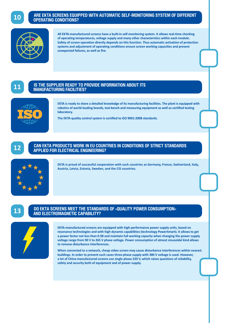

### **Are EKTA screens equipped with automatic self-monitoring system of different operating conditions?**



**All EKTA-manufactured screens have a built-in self-monitoring system. It allows real-time checking of operating temperatures, voltage supply and many other characteristics within each module. Safety of screen operation directly depends on this function. Thus automatic activation of protection systems and adjustment of operating conditions ensure screen working capacities and prevent unexpected failures, as well as fire.**

**11**

### **Is the supplier ready to provide information about its manufacturing facilities?**



**EKTA is ready to share a detailed knowledge of its manufacturing facilities. The plant is equipped with robotics of world-leading brands, test-bench and measuring equipment as well as certified testing laboratory.**

**The EKTA quality control system is certified to ISO 9001:2008 standards.** 



### **Can EKTA products work in EU countries in conditions of strict standards 12 applied for electrical engineering?**



**EKTA is proud of successful cooperation with such countries as Germany, France, Switzerland, Italy, Austria, Latvia, Estonia, Sweden, and the CIS countries.**

### **13**

### **Do EKTA screens meet the standards of «quality power consumption» and electromagnetic capability?**



**EKTA-manufactured screens are equipped with high-performance power supply units, based on resonance technologies and with high dynamic capabilities (technology PowerSmart). It allows to get a power factor not less than 0.98 and maintain full working capacity when changing the power supply voltage range from 90 V to 265 V phase voltage. Power consumption of almost sinusoidal kind allows to remove disturbance interferences.**

**When connected to a network, cheap video screen may cause disturbance interferences within nearest buildings. In order to prevent such cases three-phase supply with 380 V voltage is used. However, a lot of China-manufactured screens use single phase 220 V, which raises questions of reliability, safety and security both of equipment and of power supply.**